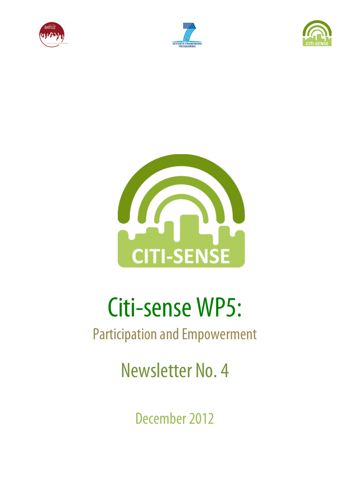







# Citi-sense WP5:

## Participation and Empowerment

Newsletter No. 4

December 2012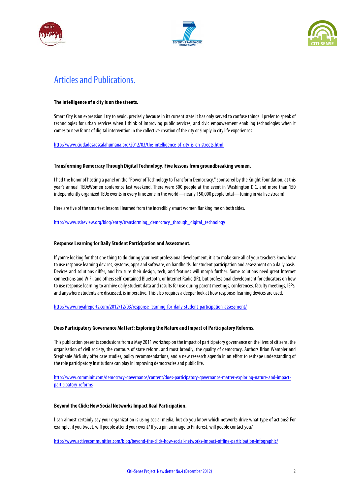





### Articles and Publications.

#### **The intelligence of a city is on the streets.**

Smart City is an expression I try to avoid, precisely because in its current state it has only served to confuse things. I prefer to speak of technologies for urban services when I think of improving public services, and civic empowerment enabling technologies when it comes to new forms of digital intervention in the collective creation of the city or simply in city life experiences.

http://www.ciudadesaescalahumana.org/2012/03/the-intelligence-of-city-is-on-streets.html

#### **Transforming Democracy Through Digital Technology.Five lessons from groundbreaking women.**

I had the honor of hosting a panel on the "Power of Technology to Transform Democracy," sponsored by the Knight Foundation, at this year's annual TEDxWomen conference last weekend. There were 300 people at the event in Washington D.C. and more than 150 independently organized TEDx events in every time zone in the world—nearly 150,000 people total—tuning in via live stream!

Here are five of the smartest lessons I learned from the incredibly smart women flanking me on both sides.

http://www.ssireview.org/blog/entry/transforming\_democracy\_through\_digital\_technology

#### **Response Learning for Daily Student Participation and Assessment.**

If you're looking for that one thing to do during your next professional development, it is to make sure all of your teachers know how to use response learning devices, systems, apps and software, on handhelds, for student participation and assessment on a daily basis. Devices and solutions differ, and I'm sure their design, tech, and features will morph further. Some solutions need great Internet connections and WiFi, and others self-contained Bluetooth, or Internet Radio (IR), but professional development for educators on how to use response learning to archive daily student data and results for use during parent meetings, conferences, faculty meetings, IEPs, and anywhere students are discussed, is imperative. This also requires a deeper look at how response-learning devices are used.

http://www.royalreports.com/2012/12/03/response-learning-for-daily-student-participation-assessment/

#### **Does Participatory Governance Matter?: Exploring the Nature and Impact of Participatory Reforms.**

This publication presents conclusions from a May 2011 workshop on the impact of participatorygovernance on the lives of citizens, the organisation of civil society, the contours of state reform, and most broadly, the quality of democracy. Authors Brian Wampler and Stephanie McNulty offer case studies, policy recommendations, and a new research agenda in an effort to reshape understanding of the role participatory institutions can play in improving democracies and public life.

http://www.comminit.com/democracy-governance/content/does-participatory-governance-matter-exploring-nature-and-impactparticipatory-reforms

#### **Beyond the Click: How Social Networks Impact Real Participation.**

I can almost certainly say your organization is using social media, but do you know which networks drive what type of actions? For example, if you tweet, will people attend your event? If you pin an image to Pinterest, will people contact you?

http://www.activecommunities.com/blog/beyond-the-click-how-social-networks-impact-offline-participation-infographic/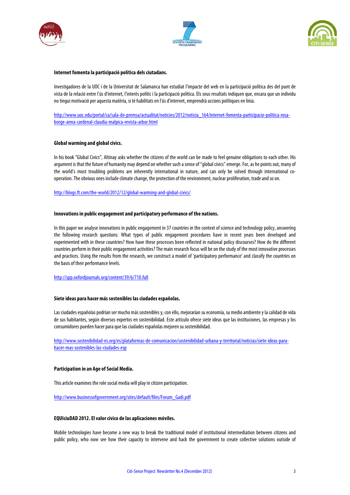





#### **Internet fomenta la participació política dels ciutadans.**

Investigadores de la UOC i de la Universitat de Salamanca han estudiat l'impacte del web en la participació política des del punt de vista de la relació entre l'ús d'internet, l'interès polític i la participació política. Els seus resultats indiquen que, encara que un individu no tingui motivació per aquesta matèria, si té habilitats en l'ús d'internet, emprendrà accions polítiques en línia.

http://www.uoc.edu/portal/ca/sala-de-premsa/actualitat/noticies/2012/noticia\_164/internet-fomenta-participacio-politica-rosaborge-anna-cardenal-claudia-malpica-revista-arbor.html

#### **Global warming and global civics.**

In his book "Global Civics", Altinay asks whether the citizens of the world can be made to feel genuine obligations to each other. His argument is that the future of humanity may depend on whether such a sense of "global civics" emerge. For, as he points out, many of the world's most troubling problems are inherently international in nature, and can only be solved through international cooperation. The obvious ones include climate change, the protection of the environment, nuclear proliferation, trade and so on.

http://blogs.ft.com/the-world/2012/12/global-warming-and-global-civics/

#### **Innovations in public engagement and participatory performance of the nations.**

In this paper we analyse innovations in public engagement in 37 countries in the context of science and technology policy, answering the following research questions: What types of public engagement procedures have in recent years been developed and experimented with in these countries? How have these processes been reflected in national policy discourses? How do the different countries perform in their public engagement activities? The main research focus will be on the study of the most innovative processes and practices. Using the results from the research, we construct a model of 'participatory performance' and classify the countries on the basis of their performance levels.

#### http://spp.oxfordjournals.org/content/39/6/710.full

#### **Siete ideas para hacer más sostenibles las ciudades españolas.**

Las ciudades españolas podrían ser mucho más sostenibles y, con ello, mejorarían su economía, su medio ambiente y la calidad de vida de sus habitantes, según diversos expertos en sostenibilidad. Este artículo ofrece siete ideas que las instituciones, las empresas y los consumidores pueden hacer para que las ciudades españolas mejoren susostenibilidad.

http://www.sostenibilidad-es.org/es/plataformas-de-comunicacion/sostenibilidad-urbana-y-territorial/noticias/siete-ideas-parahacer-mas-sostenibles-las-ciudades-esp

#### **Participation in an Age of Social Media.**

This article examines the role social media will play in citizen participation.

http://www.businessofgovernment.org/sites/default/files/Forum\_Gadi.pdf

#### **EQUIciuDAD 2012. El valor cívico de las aplicaciones móviles.**

Mobile technologies have become a new way to break the traditional model of institutional intermediation between citizens and public policy, who now see how their capacity to intervene and hack the government to create collective solutions outside of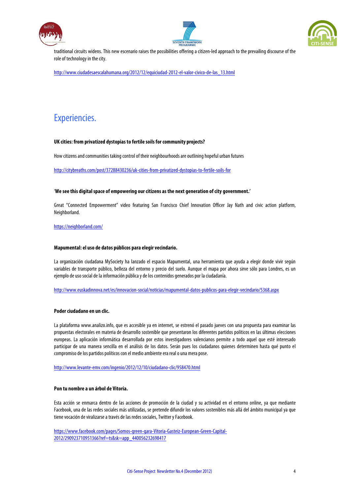





traditional circuits widens. This new escenario raises the possibilities offering a citizen-led approach to the prevailing discourse of the role of technology in the city.

http://www.ciudadesaescalahumana.org/2012/12/equiciudad-2012-el-valor-civico-de-las\_13.html

## Experiencies.

#### **UK cities: from privatized dystopias to fertile soils for community projects?**

How citizens and communities taking control of their neighbourhoods are outlining hopeful urban futures

http://citybreaths.com/post/37288430236/uk-cities-from-privatized-dystopias-to-fertile-soils-for

#### '**We see this digital space of empowering our citizens as the next generation of city government.'**

Great "Connected Empowerment" video featuring San Francisco Chief Innovation Officer Jay Nath and civic action platform, Neighborland.

https://neighborland.com/

#### **Mapumental: el uso de datos públicos para elegir vecindario.**

La organización ciudadana MySociety ha lanzado el espacio Mapumental, una herramienta que ayuda a elegir donde vivir según variables de transporte público, belleza del entorno y precio del suelo. Aunque el mapa por ahora sirve sólo para Londres, es un ejemplo de uso social de la información pública y de los contenidos generados por la ciudadanía.

http://www.euskadinnova.net/es/innovacion-social/noticias/mapumental-datos-publicos-para-elegir-vecindario/5368.aspx

#### **Poder ciudadano en un clic.**

La plataforma www.analizo.info, que es accesible ya en internet, se estrenó el pasado jueves con una propuesta para examinar las propuestas electorales en materia de desarrollo sostenible que presentaron los diferentes partidos políticos en las últimas elecciones europeas. La aplicación informática desarrollada por estos investigadores valencianos permite a todo aquel que esté interesado participar de una manera sencilla en el análisis de los datos. Serán pues los ciudadanos quienes determinen hasta qué punto el compromiso de los partidos políticos con el medio ambiente era real o una mera pose.

http://www.levante-emv.com/ingenio/2012/12/10/ciudadano-clic/958470.html

#### **Pon tu nombre a un árbol de Vitoria.**

Esta acción se enmarca dentro de las acciones de promoción de la ciudad y su actividad en el entorno online, ya que mediante Facebook, una de las redes sociales más utilizadas, se pretende difundir los valores sostenibles más allá del ámbito municipal ya que tiene vocación de viralizarse a través de las redes sociales, Twitter y Facebook.

https://www.facebook.com/pages/Somos-green-gara-Vitoria-Gasteiz-European-Green-Capital-2012/290923710951366?ref=ts&sk=app\_440056232698417